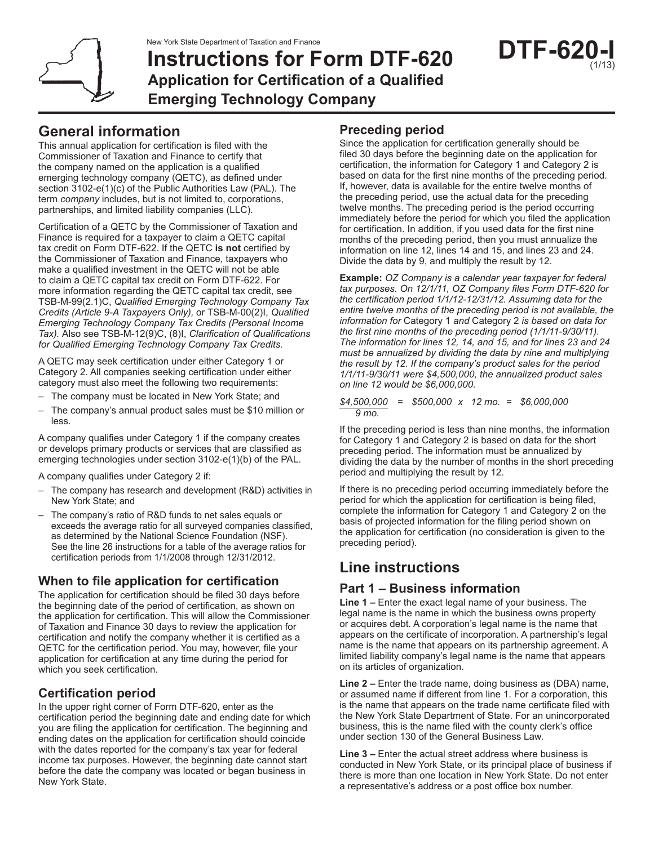

# **Instructions for Form DTF-620 Application for Certification of a Qualified Emerging Technology Company**

# **General information**

This annual application for certification is filed with the Commissioner of Taxation and Finance to certify that the company named on the application is a qualified emerging technology company (QETC), as defined under section 3102-e(1)(c) of the Public Authorities Law (PAL). The term *company* includes, but is not limited to, corporations, partnerships, and limited liability companies (LLC).

Certification of a QETC by the Commissioner of Taxation and Finance is required for a taxpayer to claim a QETC capital tax credit on Form DTF-622. If the QETC **is not** certified by the Commissioner of Taxation and Finance, taxpayers who make a qualified investment in the QETC will not be able to claim a QETC capital tax credit on Form DTF-622. For more information regarding the QETC capital tax credit, see TSB-M-99(2.1)C, *Qualified Emerging Technology Company Tax Credits (Article 9-A Taxpayers Only),* or TSB-M-00(2)I, *Qualified Emerging Technology Company Tax Credits (Personal Income Tax).* Also see TSB-M-12(9)C, (8)I, *Clarification of Qualifications for Qualified Emerging Technology Company Tax Credits.*

A QETC may seek certification under either Category 1 or Category 2. All companies seeking certification under either category must also meet the following two requirements:

- The company must be located in New York State; and
- The company's annual product sales must be \$10 million or less.

A company qualifies under Category 1 if the company creates or develops primary products or services that are classified as emerging technologies under section 3102-e(1)(b) of the PAL.

A company qualifies under Category 2 if:

- The company has research and development (R&D) activities in New York State; and
- The company's ratio of R&D funds to net sales equals or exceeds the average ratio for all surveyed companies classified, as determined by the National Science Foundation (NSF). See the line 26 instructions for a table of the average ratios for certification periods from 1/1/2008 through 12/31/2012.

### **When to file application for certification**

The application for certification should be filed 30 days before the beginning date of the period of certification, as shown on the application for certification. This will allow the Commissioner of Taxation and Finance 30 days to review the application for certification and notify the company whether it is certified as a QETC for the certification period. You may, however, file your application for certification at any time during the period for which you seek certification.

### **Certification period**

In the upper right corner of Form DTF-620, enter as the certification period the beginning date and ending date for which you are filing the application for certification. The beginning and ending dates on the application for certification should coincide with the dates reported for the company's tax year for federal income tax purposes. However, the beginning date cannot start before the date the company was located or began business in New York State.

## **Preceding period**

Since the application for certification generally should be filed 30 days before the beginning date on the application for certification, the information for Category 1 and Category 2 is based on data for the first nine months of the preceding period. If, however, data is available for the entire twelve months of the preceding period, use the actual data for the preceding twelve months. The preceding period is the period occurring immediately before the period for which you filed the application for certification. In addition, if you used data for the first nine months of the preceding period, then you must annualize the information on line 12, lines 14 and 15, and lines 23 and 24. Divide the data by 9, and multiply the result by 12.

**Example:** *OZ Company is a calendar year taxpayer for federal tax purposes. On 12/1/11, OZ Company files Form DTF-620 for the certification period 1/1/12-12/31/12. Assuming data for the entire twelve months of the preceding period is not available, the information for* Category 1 *and* Category 2 *is based on data for the first nine months of the preceding period (1/1/11-9/30/11). The information for lines 12, 14, and 15, and for lines 23 and 24 must be annualized by dividing the data by nine and multiplying the result by 12. If the company's product sales for the period 1/1/11-9/30/11 were \$4,500,000, the annualized product sales on line 12 would be \$6,000,000.*

*\$4,500,000 = \$500,000 x 12 mo. = \$6,000,000 9 mo.*

If the preceding period is less than nine months, the information for Category 1 and Category 2 is based on data for the short preceding period. The information must be annualized by dividing the data by the number of months in the short preceding period and multiplying the result by 12.

If there is no preceding period occurring immediately before the period for which the application for certification is being filed, complete the information for Category 1 and Category 2 on the basis of projected information for the filing period shown on the application for certification (no consideration is given to the preceding period).

## **Line instructions**

### **Part 1 – Business information**

**Line 1 –** Enter the exact legal name of your business. The legal name is the name in which the business owns property or acquires debt. A corporation's legal name is the name that appears on the certificate of incorporation. A partnership's legal name is the name that appears on its partnership agreement. A limited liability company's legal name is the name that appears on its articles of organization.

**Line 2 –** Enter the trade name, doing business as (DBA) name, or assumed name if different from line 1. For a corporation, this is the name that appears on the trade name certificate filed with the New York State Department of State. For an unincorporated business, this is the name filed with the county clerk's office under section 130 of the General Business Law.

**Line 3 –** Enter the actual street address where business is conducted in New York State, or its principal place of business if there is more than one location in New York State. Do not enter a representative's address or a post office box number.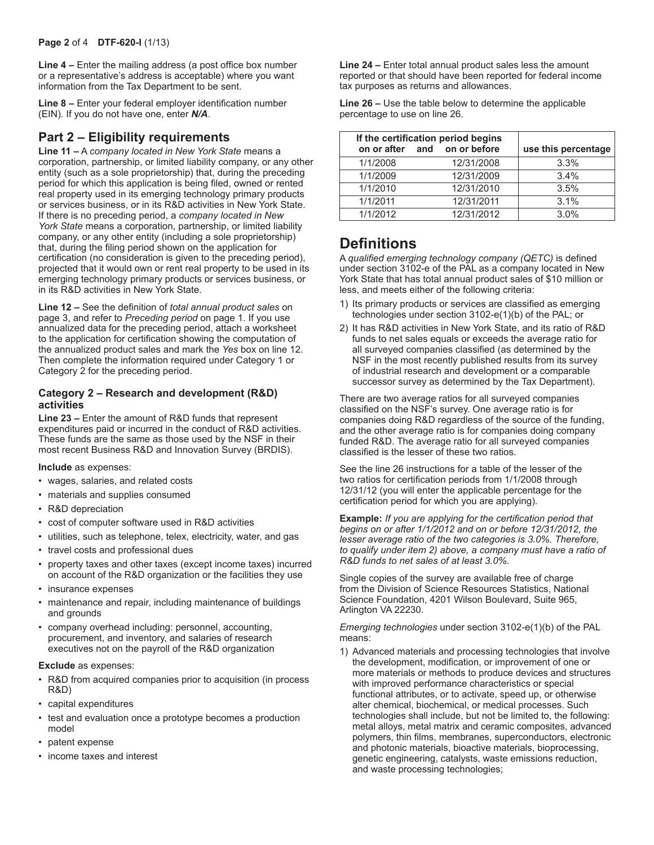**Line 4 –** Enter the mailing address (a post office box number or a representative's address is acceptable) where you want information from the Tax Department to be sent.

**Line 8 –** Enter your federal employer identification number (EIN). If you do not have one, enter *N/A*.

### **Part 2 – Eligibility requirements**

**Line 11 –** A *company located in New York State* means a corporation, partnership, or limited liability company, or any other entity (such as a sole proprietorship) that, during the preceding period for which this application is being filed, owned or rented real property used in its emerging technology primary products or services business, or in its R&D activities in New York State. If there is no preceding period, a *company located in New York State* means a corporation, partnership, or limited liability company, or any other entity (including a sole proprietorship) that, during the filing period shown on the application for certification (no consideration is given to the preceding period), projected that it would own or rent real property to be used in its emerging technology primary products or services business, or in its R&D activities in New York State.

**Line 12 –** See the definition of *total annual product sales* on page 3, and refer to *Preceding period* on page 1. If you use annualized data for the preceding period, attach a worksheet to the application for certification showing the computation of the annualized product sales and mark the *Yes* box on line 12. Then complete the information required under Category 1 or Category 2 for the preceding period.

#### **Category 2 – Research and development (R&D) activities**

**Line 23 –** Enter the amount of R&D funds that represent expenditures paid or incurred in the conduct of R&D activities. These funds are the same as those used by the NSF in their most recent Business R&D and Innovation Survey (BRDIS).

#### **Include** as expenses:

- wages, salaries, and related costs
- materials and supplies consumed
- R&D depreciation
- cost of computer software used in R&D activities
- utilities, such as telephone, telex, electricity, water, and gas
- travel costs and professional dues
- property taxes and other taxes (except income taxes) incurred on account of the R&D organization or the facilities they use
- insurance expenses
- maintenance and repair, including maintenance of buildings and grounds
- company overhead including: personnel, accounting, procurement, and inventory, and salaries of research executives not on the payroll of the R&D organization

#### **Exclude** as expenses:

- R&D from acquired companies prior to acquisition (in process R&D)
- capital expenditures
- test and evaluation once a prototype becomes a production model
- patent expense
- income taxes and interest

**Line 24 –** Enter total annual product sales less the amount reported or that should have been reported for federal income tax purposes as returns and allowances.

**Line 26 –** Use the table below to determine the applicable percentage to use on line 26.

|          | If the certification period begins<br>on or after and on or before | use this percentage |
|----------|--------------------------------------------------------------------|---------------------|
| 1/1/2008 | 12/31/2008                                                         | 3.3%                |
| 1/1/2009 | 12/31/2009                                                         | 3.4%                |
| 1/1/2010 | 12/31/2010                                                         | 3.5%                |
| 1/1/2011 | 12/31/2011                                                         | 3.1%                |
| 1/1/2012 | 12/31/2012                                                         | 3.0%                |

## **Definitions**

A *qualified emerging technology company (QETC)* is defined under section 3102-e of the PAL as a company located in New York State that has total annual product sales of \$10 million or less, and meets either of the following criteria:

- 1) Its primary products or services are classified as emerging technologies under section 3102-e(1)(b) of the PAL; or
- 2) It has R&D activities in New York State, and its ratio of R&D funds to net sales equals or exceeds the average ratio for all surveyed companies classified (as determined by the NSF in the most recently published results from its survey of industrial research and development or a comparable successor survey as determined by the Tax Department).

There are two average ratios for all surveyed companies classified on the NSF's survey. One average ratio is for companies doing R&D regardless of the source of the funding, and the other average ratio is for companies doing company funded R&D. The average ratio for all surveyed companies classified is the lesser of these two ratios.

See the line 26 instructions for a table of the lesser of the two ratios for certification periods from 1/1/2008 through 12/31/12 (you will enter the applicable percentage for the certification period for which you are applying).

**Example:** *If you are applying for the certification period that begins on or after 1/1/2012 and on or before 12/31/2012, the lesser average ratio of the two categories is 3.0%. Therefore, to qualify under item 2) above, a company must have a ratio of R&D funds to net sales of at least 3.0%.*

Single copies of the survey are available free of charge from the Division of Science Resources Statistics, National Science Foundation, 4201 Wilson Boulevard, Suite 965, Arlington VA 22230.

*Emerging technologies* under section 3102-e(1)(b) of the PAL means:

1) Advanced materials and processing technologies that involve the development, modification, or improvement of one or more materials or methods to produce devices and structures with improved performance characteristics or special functional attributes, or to activate, speed up, or otherwise alter chemical, biochemical, or medical processes. Such technologies shall include, but not be limited to, the following: metal alloys, metal matrix and ceramic composites, advanced polymers, thin films, membranes, superconductors, electronic and photonic materials, bioactive materials, bioprocessing, genetic engineering, catalysts, waste emissions reduction, and waste processing technologies;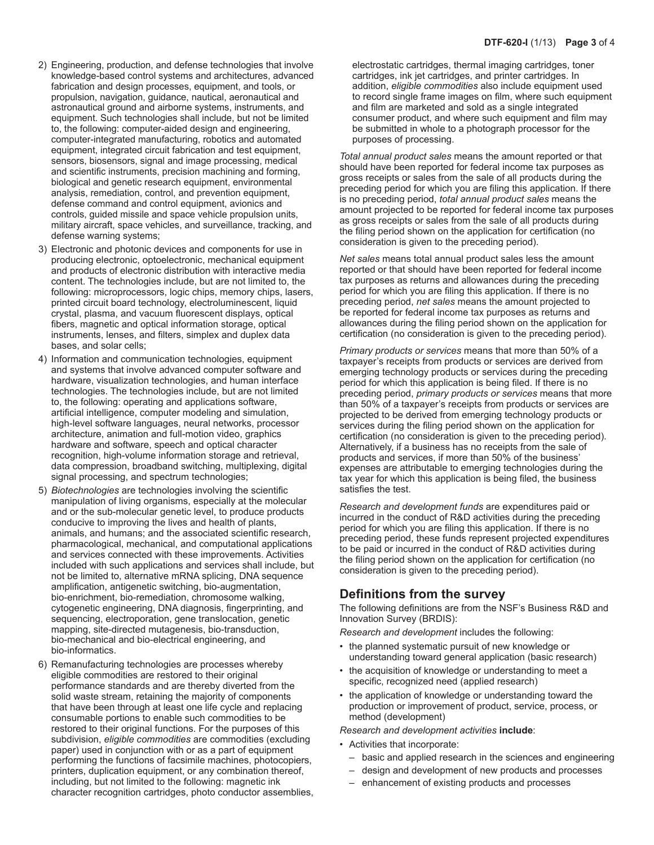- 2) Engineering, production, and defense technologies that involve knowledge-based control systems and architectures, advanced fabrication and design processes, equipment, and tools, or propulsion, navigation, guidance, nautical, aeronautical and astronautical ground and airborne systems, instruments, and equipment. Such technologies shall include, but not be limited to, the following: computer-aided design and engineering, computer-integrated manufacturing, robotics and automated equipment, integrated circuit fabrication and test equipment, sensors, biosensors, signal and image processing, medical and scientific instruments, precision machining and forming, biological and genetic research equipment, environmental analysis, remediation, control, and prevention equipment, defense command and control equipment, avionics and controls, guided missile and space vehicle propulsion units, military aircraft, space vehicles, and surveillance, tracking, and defense warning systems;
- 3) Electronic and photonic devices and components for use in producing electronic, optoelectronic, mechanical equipment and products of electronic distribution with interactive media content. The technologies include, but are not limited to, the following: microprocessors, logic chips, memory chips, lasers, printed circuit board technology, electroluminescent, liquid crystal, plasma, and vacuum fluorescent displays, optical fibers, magnetic and optical information storage, optical instruments, lenses, and filters, simplex and duplex data bases, and solar cells;
- 4) Information and communication technologies, equipment and systems that involve advanced computer software and hardware, visualization technologies, and human interface technologies. The technologies include, but are not limited to, the following: operating and applications software, artificial intelligence, computer modeling and simulation, high-level software languages, neural networks, processor architecture, animation and full-motion video, graphics hardware and software, speech and optical character recognition, high-volume information storage and retrieval, data compression, broadband switching, multiplexing, digital signal processing, and spectrum technologies;
- 5) *Biotechnologies* are technologies involving the scientific manipulation of living organisms, especially at the molecular and or the sub-molecular genetic level, to produce products conducive to improving the lives and health of plants, animals, and humans; and the associated scientific research, pharmacological, mechanical, and computational applications and services connected with these improvements. Activities included with such applications and services shall include, but not be limited to, alternative mRNA splicing, DNA sequence amplification, antigenetic switching, bio-augmentation, bio-enrichment, bio-remediation, chromosome walking, cytogenetic engineering, DNA diagnosis, fingerprinting, and sequencing, electroporation, gene translocation, genetic mapping, site-directed mutagenesis, bio-transduction, bio-mechanical and bio-electrical engineering, and bio-informatics.
- 6) Remanufacturing technologies are processes whereby eligible commodities are restored to their original performance standards and are thereby diverted from the solid waste stream, retaining the majority of components that have been through at least one life cycle and replacing consumable portions to enable such commodities to be restored to their original functions. For the purposes of this subdivision, *eligible commodities* are commodities (excluding paper) used in conjunction with or as a part of equipment performing the functions of facsimile machines, photocopiers, printers, duplication equipment, or any combination thereof, including, but not limited to the following: magnetic ink character recognition cartridges, photo conductor assemblies,

electrostatic cartridges, thermal imaging cartridges, toner cartridges, ink jet cartridges, and printer cartridges. In addition, *eligible commodities* also include equipment used to record single frame images on film, where such equipment and film are marketed and sold as a single integrated consumer product, and where such equipment and film may be submitted in whole to a photograph processor for the purposes of processing.

*Total annual product sales* means the amount reported or that should have been reported for federal income tax purposes as gross receipts or sales from the sale of all products during the preceding period for which you are filing this application. If there is no preceding period, *total annual product sales* means the amount projected to be reported for federal income tax purposes as gross receipts or sales from the sale of all products during the filing period shown on the application for certification (no consideration is given to the preceding period).

*Net sales* means total annual product sales less the amount reported or that should have been reported for federal income tax purposes as returns and allowances during the preceding period for which you are filing this application. If there is no preceding period, *net sales* means the amount projected to be reported for federal income tax purposes as returns and allowances during the filing period shown on the application for certification (no consideration is given to the preceding period).

*Primary products or services* means that more than 50% of a taxpayer's receipts from products or services are derived from emerging technology products or services during the preceding period for which this application is being filed. If there is no preceding period, *primary products or services* means that more than 50% of a taxpayer's receipts from products or services are projected to be derived from emerging technology products or services during the filing period shown on the application for certification (no consideration is given to the preceding period). Alternatively, if a business has no receipts from the sale of products and services, if more than 50% of the business' expenses are attributable to emerging technologies during the tax year for which this application is being filed, the business satisfies the test.

*Research and development funds* are expenditures paid or incurred in the conduct of R&D activities during the preceding period for which you are filing this application. If there is no preceding period, these funds represent projected expenditures to be paid or incurred in the conduct of R&D activities during the filing period shown on the application for certification (no consideration is given to the preceding period).

### **Definitions from the survey**

The following definitions are from the NSF's Business R&D and Innovation Survey (BRDIS):

*Research and development* includes the following:

- the planned systematic pursuit of new knowledge or understanding toward general application (basic research)
- the acquisition of knowledge or understanding to meet a specific, recognized need (applied research)
- the application of knowledge or understanding toward the production or improvement of product, service, process, or method (development)

*Research and development activities* **include**:

- Activities that incorporate:
	- basic and applied research in the sciences and engineering
	- design and development of new products and processes
	- enhancement of existing products and processes